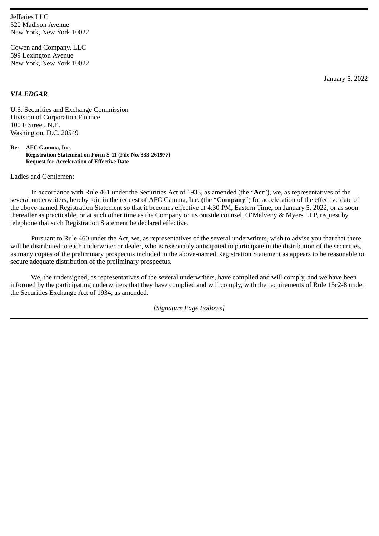Jefferies LLC 520 Madison Avenue New York, New York 10022

Cowen and Company, LLC 599 Lexington Avenue New York, New York 10022

*VIA EDGAR*

January 5, 2022

U.S. Securities and Exchange Commission Division of Corporation Finance 100 F Street, N.E. Washington, D.C. 20549

**Re: AFC Gamma, Inc. Registration Statement on Form S-11 (File No. 333-261977) Request for Acceleration of Effective Date**

Ladies and Gentlemen:

In accordance with Rule 461 under the Securities Act of 1933, as amended (the "**Act**"), we, as representatives of the several underwriters, hereby join in the request of AFC Gamma, Inc. (the "**Company**") for acceleration of the effective date of the above-named Registration Statement so that it becomes effective at 4:30 PM, Eastern Time, on January 5, 2022, or as soon thereafter as practicable, or at such other time as the Company or its outside counsel, O'Melveny & Myers LLP, request by telephone that such Registration Statement be declared effective.

Pursuant to Rule 460 under the Act, we, as representatives of the several underwriters, wish to advise you that that there will be distributed to each underwriter or dealer, who is reasonably anticipated to participate in the distribution of the securities, as many copies of the preliminary prospectus included in the above-named Registration Statement as appears to be reasonable to secure adequate distribution of the preliminary prospectus.

We, the undersigned, as representatives of the several underwriters, have complied and will comply, and we have been informed by the participating underwriters that they have complied and will comply, with the requirements of Rule 15c2-8 under the Securities Exchange Act of 1934, as amended.

*[Signature Page Follows]*